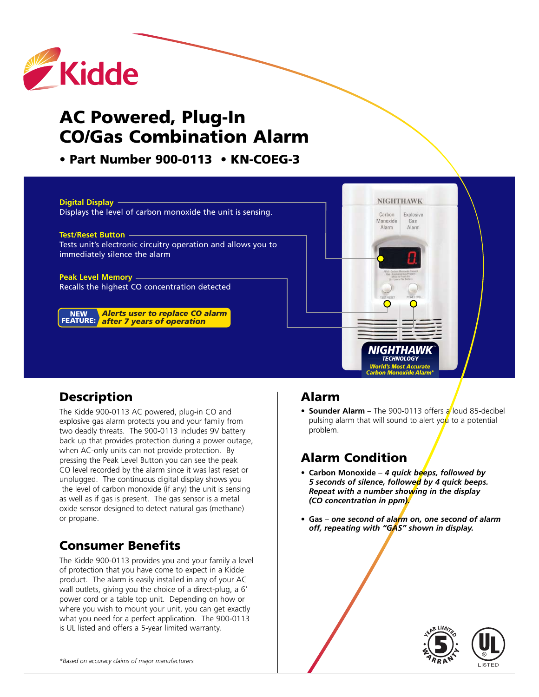

# **AC Powered, Plug-In CO/Gas Combination Alarm**

**• Part Number 900-0113 • KN-COEG-3**



### **Description**

The Kidde 900-0113 AC powered, plug-in CO and explosive gas alarm protects you and your family from two deadly threats. The 900-0113 includes 9V battery back up that provides protection during a power outage, when AC-only units can not provide protection. By pressing the Peak Level Button you can see the peak CO level recorded by the alarm since it was last reset or unplugged. The continuous digital display shows you the level of carbon monoxide (if any) the unit is sensing as well as if gas is present. The gas sensor is a metal oxide sensor designed to detect natural gas (methane) or propane.

## **Consumer Benefits**

The Kidde 900-0113 provides you and your family a level of protection that you have come to expect in a Kidde product. The alarm is easily installed in any of your AC wall outlets, giving you the choice of a direct-plug, a 6' power cord or a table top unit. Depending on how or where you wish to mount your unit, you can get exactly what you need for a perfect application. The 900-0113 is UL listed and offers a 5-year limited warranty.

#### **Alarm**

• **Sounder Alarm** – The 900-0113 offers a loud 85-decibel pulsing alarm that will sound to alert you to a potential problem.

### **Alarm Condition**

- **• Carbon Monoxide** *4 quick beeps, followed by 5 seconds of silence, followed by 4 quick beeps. Repeat with a number showing in the display (CO concentration in ppm).*
- **• Gas** *one second of alarm on, one second of alarm off, repeating with "GAS" shown in display.*